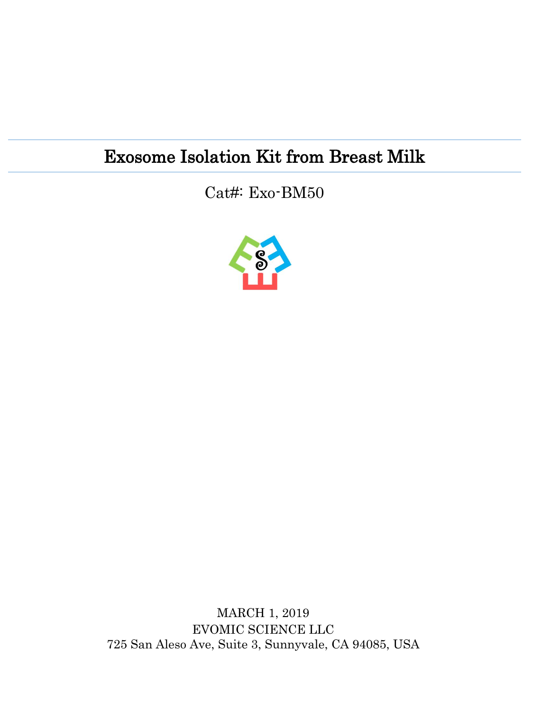## Exosome Isolation Kit from Breast Milk

Cat#: Exo-BM50



MARCH 1, 2019 EVOMIC SCIENCE LLC 725 San Aleso Ave, Suite 3, Sunnyvale, CA 94085, USA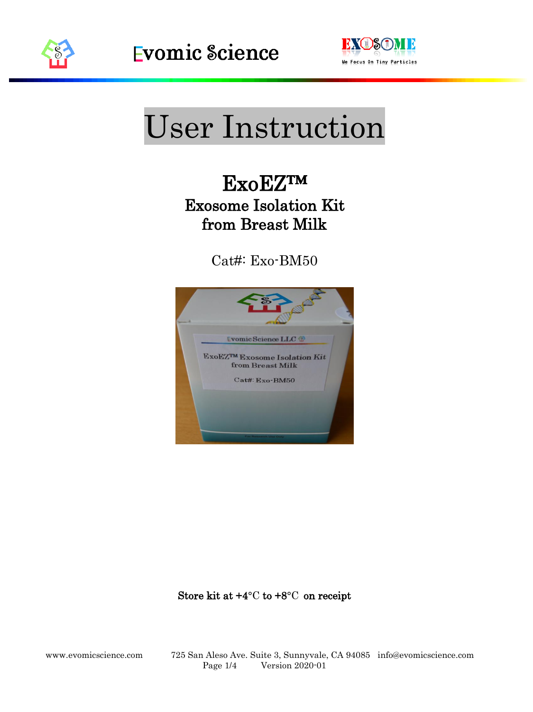

l



# User Instruction

## ExoEZ™ Exosome Isolation Kit from Breast Milk

Cat#: Exo-BM50



Store kit at  $+4^{\circ}$ C to  $+8^{\circ}$ C on receipt

www.evomicscience.com 725 San Aleso Ave. Suite 3, Sunnyvale, CA 94085 info@evomicscience.com Page 1/4 Version 2020-01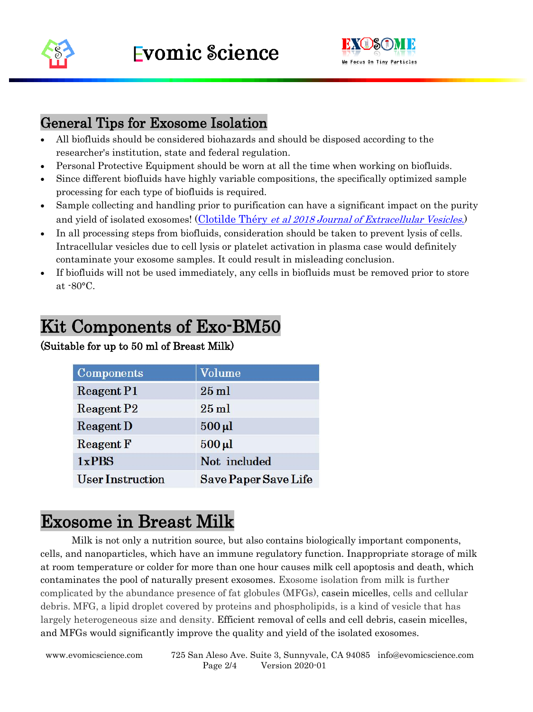

l



### General Tips for Exosome Isolation

- All biofluids should be considered biohazards and should be disposed according to the researcher's institution, state and federal regulation.
- Personal Protective Equipment should be worn at all the time when working on biofluids.
- Since different biofluids have highly variable compositions, the specifically optimized sample processing for each type of biofluids is required.
- Sample collecting and handling prior to purification can have a significant impact on the purity and yield of isolated exosomes! (Clotilde Théry et al 2018 [Journal of Extracellular Vesicles](https://www.tandfonline.com/doi/full/10.1080/20013078.2018.1535750).)
- In all processing steps from biofluids, consideration should be taken to prevent lysis of cells. Intracellular vesicles due to cell lysis or platelet activation in plasma case would definitely contaminate your exosome samples. It could result in misleading conclusion.
- If biofluids will not be used immediately, any cells in biofluids must be removed prior to store at -80°C.

### Kit Components of Exo-BM50

#### (Suitable for up to 50 ml of Breast Milk)

| <b>Components</b>       | Volume                      |  |
|-------------------------|-----------------------------|--|
| <b>Reagent P1</b>       | $25$ ml                     |  |
| <b>Reagent P2</b>       | $25$ ml                     |  |
| <b>Reagent D</b>        | $500 \,\mathrm{\upmu l}$    |  |
| <b>Reagent F</b>        | $500 \,\mathrm{\upmu l}$    |  |
| 1xPBS                   | Not included                |  |
| <b>User Instruction</b> | <b>Save Paper Save Life</b> |  |

### Exosome in Breast Milk

Milk is not only a nutrition source, but also contains biologically important components, cells, and nanoparticles, which have an immune regulatory function. Inappropriate storage of milk at room temperature or colder for more than one hour causes milk cell apoptosis and death, which contaminates the pool of naturally present exosomes. Exosome isolation from milk is further complicated by the abundance presence of fat globules (MFGs), casein micelles, cells and cellular debris. MFG, a lipid droplet covered by proteins and phospholipids, is a kind of vesicle that has largely heterogeneous size and density. Efficient removal of cells and cell debris, casein micelles, and MFGs would significantly improve the quality and yield of the isolated exosomes.

www.evomicscience.com 725 San Aleso Ave. Suite 3, Sunnyvale, CA 94085 info@evomicscience.com Page 2/4 Version 2020-01